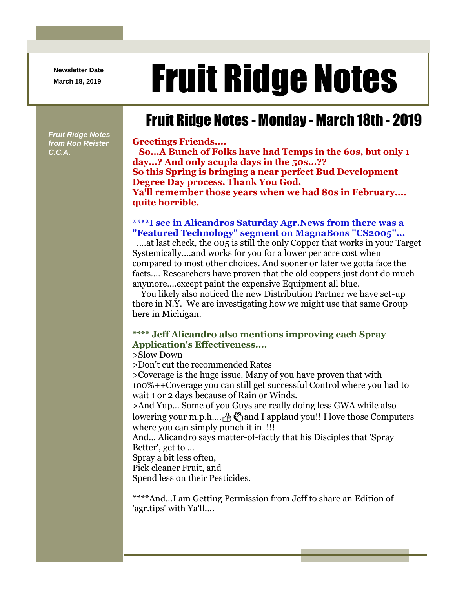**Newsletter Date**

# Newsletter Date **Fruit Ridge Notes**

## Fruit Ridge Notes - Monday - March 18th - 2019

**Greetings Friends....**

**So...A Bunch of Folks have had Temps in the 60s, but only 1 day...? And only acupla days in the 50s...?? So this Spring is bringing a near perfect Bud Development Degree Day process. Thank You God. Ya'll remember those years when we had 80s in February.... quite horrible.**

#### **\*\*\*\*I see in Alicandros Saturday Agr.News from there was a "Featured Technology" segment on MagnaBons "CS2005"...**

....at last check, the 005 is still the only Copper that works in your Target Systemically....and works for you for a lower per acre cost when compared to most other choices. And sooner or later we gotta face the facts.... Researchers have proven that the old coppers just dont do much anymore....except paint the expensive Equipment all blue.

You likely also noticed the new Distribution Partner we have set-up there in N.Y. We are investigating how we might use that same Group here in Michigan.

#### **\*\*\*\* Jeff Alicandro also mentions improving each Spray Application's Effectiveness....**

>Slow Down

>Don't cut the recommended Rates

>Coverage is the huge issue. Many of you have proven that with 100%++Coverage you can still get successful Control where you had to wait 1 or 2 days because of Rain or Winds.

>And Yup... Some of you Guys are really doing less GWA while also lowering your m.p.h.... $\beta$  and I applaud you!! I love those Computers where you can simply punch it in !!!

And... Alicandro says matter-of-factly that his Disciples that 'Spray Better', get to ...

Spray a bit less often,

Pick cleaner Fruit, and

Spend less on their Pesticides.

\*\*\*\*And...I am Getting Permission from Jeff to share an Edition of 'agr.tips' with Ya'll....

*Fruit Ridge Notes from Ron Reister C.C.A.*